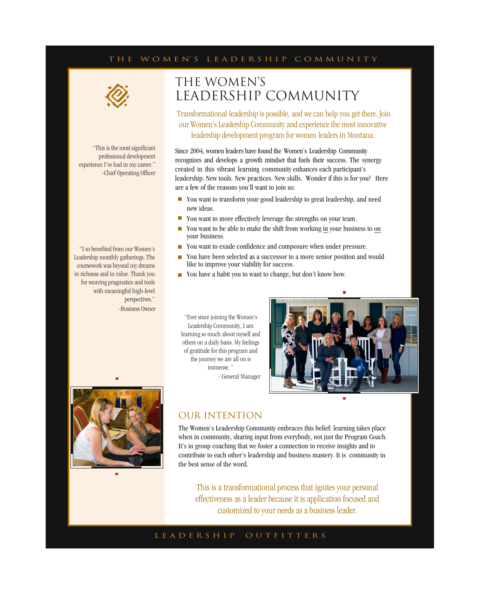#### T H E W O M E N' S L E A D E R S H I P C O M M U N I T Y



#### "This is the most significant professional development experience I've had in my career." -Chief Operating Officer

"I so benefited from our Women's Leadership monthly gatherings. The coursework was beyond my dreams in richness and in value. Thank you for weaving pragmatics and tools with meaningful high-level perspectives." -Business Owner

# THE WOMEN'S LEADERSHIP COMMUNITY

Transformational leadership is possible, and we can help you get there. Join our Women's Leadership Community and experience the most innovative leadership development program for women leaders in Montana.

Since 2004, women leaders have found the Women's Leadership Community recognizes and develops a growth mindset that fuels their success. The synergy created in this vibrant learning community enhances each participant's leadership. New tools. New practices. New skills. Wonder if this is for you? Here are a few of the reasons you'll want to join us:

- You want to transform your good leadership to great leadership, and need new ideas.
- You want to more effectively leverage the strengths on your team.
- You want to be able to make the shift from working in your business to on your business.
- You want to exude confidence and composure when under pressure.
- You have been selected as a successor to a more senior position and would like to improve your viability for success.
- You have a habit you to want to change, but don't know how.

"Ever since joining the Women's Leadership Community, I am learning so much about myself and others on a daily basis. My feelings of gratitude for this program and the journey we are all on is immense." - General Manager





### OUR INTENTION

The Women's Leadership Community embraces this belief: learning takes place when in community, sharing input from everybody, not just the Program Coach. It's in group coaching that we foster a connection to receive insights and to contribute to each other's leadership and business mastery. It is community in the best sense of the word.

This is a transformational process that ignites your personal effectiveness as a leader because it is application focused and customized to your needs as a business leader.

#### L E A D E R S H I P O U T F I T T E R S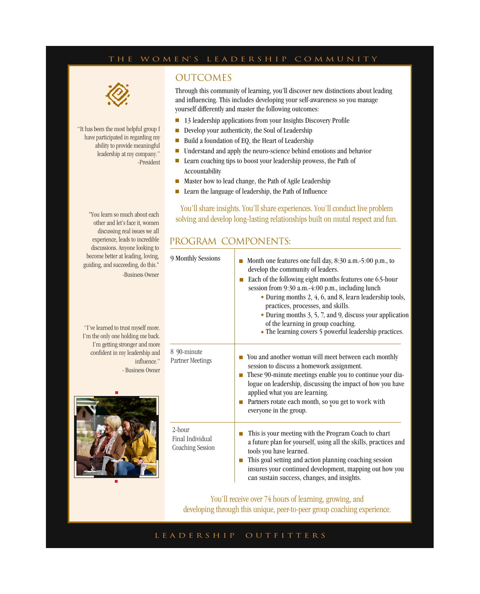### T H E W O M E N' S L E A D E R S H I P C O M M U N I T Y



"It has been the most helpful group I have participated in regarding my ability to provide meaningful leadership at my company." -President

### **OUTCOMES**

Through this community of learning, you'll discover new distinctions about leading and influencing. This includes developing your self-awareness so you manage yourself differently and master the following outcomes:

- 13 leadership applications from your Insights Discovery Profile
- Develop your authenticity, the Soul of Leadership
- Build a foundation of EQ, the Heart of Leadership
- Understand and apply the neuro-science behind emotions and behavior
- Learn coaching tips to boost your leadership prowess, the Path of Accountability
- Master how to lead change, the Path of Agile Leadership
- Learn the language of leadership, the Path of Influence

You'll share insights. You'll share experiences. You'll conduct live problem solving and develop long-lasting relationships built on mutal respect and fun.

### PROGRAM COMPONENTS:

| 9 Monthly Sessions                             | Month one features one full day, 8:30 a.m.-5:00 p.m., to<br>develop the community of leaders.<br>Each of the following eight months features one 6.5-hour<br>m.<br>session from 9:30 a.m.-4:00 p.m., including lunch<br>• During months 2, 4, 6, and 8, learn leadership tools,<br>practices, processes, and skills.<br>• During months 3, 5, 7, and 9, discuss your application<br>of the learning in group coaching.<br>• The learning covers 5 powerful leadership practices. |
|------------------------------------------------|----------------------------------------------------------------------------------------------------------------------------------------------------------------------------------------------------------------------------------------------------------------------------------------------------------------------------------------------------------------------------------------------------------------------------------------------------------------------------------|
| 8 90-minute<br>Partner Meetings                | You and another woman will meet between each monthly<br>session to discuss a homework assignment.<br>These 90-minute meetings enable you to continue your dia-<br>m.<br>logue on leadership, discussing the impact of how you have<br>applied what you are learning.<br>Partners rotate each month, so you get to work with<br>everyone in the group.                                                                                                                            |
| 2-hour<br>Final Individual<br>Coaching Session | This is your meeting with the Program Coach to chart<br>a future plan for yourself, using all the skills, practices and<br>tools you have learned.<br>This goal setting and action planning coaching session<br>insures your continued development, mapping out how you<br>can sustain success, changes, and insights.                                                                                                                                                           |

You'll receive over 74 hours of learning, growing, and developing through this unique, peer-to-peer group coaching experience.

#### L E A D E R S H I P O U T F I T T E R S

"You learn so much about each other and let's face it, women discussing real issues we all experience, leads to incredible discussions. Anyone looking to become better at leading, loving, guiding, and succeeding, do this." -Business Owner

"I've learned to trust myself more. I'm the only one holding me back. I'm getting stronger and more confident in my leadership and influence." - Business Owner

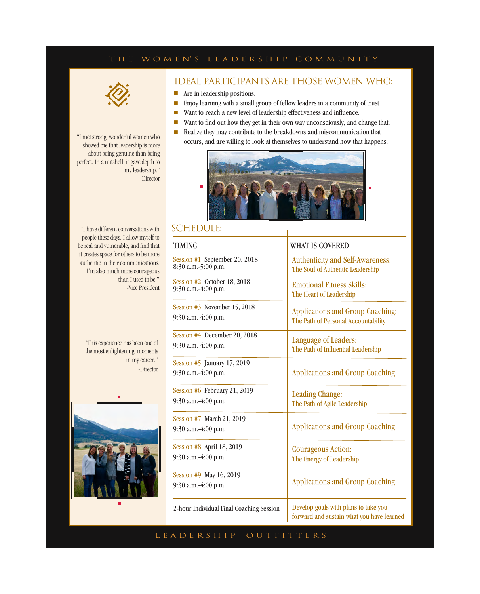### T H E W O M E N' S L E A D E R S H I P C O M M U N I T Y



"I met strong, wonderful women who showed me that leadership is more about being genuine than being perfect. In a nutshell, it gave depth to my leadership." -Director

### IDEAL PARTICIPANTS ARE THOSE WOMEN WHO:

- Are in leadership positions.
- Enjoy learning with a small group of fellow leaders in a community of trust.
- Want to reach a new level of leadership effectiveness and influence.
- Want to find out how they get in their own way unconsciously, and change that.
- Realize they may contribute to the breakdowns and miscommunication that occurs, and are willing to look at themselves to understand how that happens.



### SCHEDULE:

TIMING WHAT IS COVERED Session #1: January , 2019 8:30 a.m.-5:00 p.m. Session #2: February, 2019 9:30 a.m.-4:00 p.m. Session #3: March , 2019 9:30 a.m.-4:00 p.m. Session #4: April , 2019 9:30 a.m.-4:00 p.m. Session #5: May , 2019 9:30 a.m.-4:00 p.m. Session #6: June , 2019 9:30 a.m.-4:00 p.m. Session #7: July , 2019 9:30 a.m.-4:00 p.m. Session #8: August , 2019 9:30 a.m.-4:00 p.m. Session #9: September, 2019 9:30 a.m.-4:00 p.m. Authenticity and Self-Awareness: The Soul of Authentic Leadership Emotional Fitness Skills: The Heart of Leadership Applications and Group Coaching: The Path of Personal Accountability Language of Leaders: The Path of Influential Leadership Leading Change: The Path of Agile Leadership Courageous Action: The Energy of Leadership Applications and Group Coaching Applications and Group Coaching Applications and Group Coaching 2-hour Individual Final Coaching Session Develop goals with plans to take you forward and sustain what you have learned

"I have different conversations with people these days. I allow myself to be real and vulnerable, and find that it creates space for others to be more authentic in their communications. I'm also much more courageous than I used to be." -Vice President

"This experience has been one of the most enlightening moments in my career." -Director



L E A D E R S H I P O U T F I T T E R S